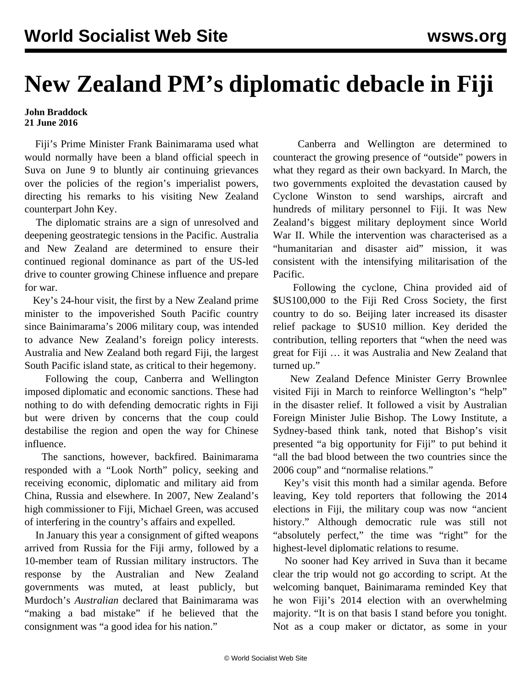## **New Zealand PM's diplomatic debacle in Fiji**

## **John Braddock 21 June 2016**

 Fiji's Prime Minister Frank Bainimarama used what would normally have been a bland official speech in Suva on June 9 to bluntly air continuing grievances over the policies of the region's imperialist powers, directing his remarks to his visiting New Zealand counterpart John Key.

 The diplomatic strains are a sign of unresolved and deepening geostrategic tensions in the Pacific. Australia and New Zealand are determined to ensure their continued regional dominance as part of the US-led drive to counter growing Chinese influence and prepare for war.

 Key's 24-hour visit, the first by a New Zealand prime minister to the impoverished South Pacific country since Bainimarama's 2006 military coup, was intended to advance New Zealand's foreign policy interests. Australia and New Zealand both regard Fiji, the largest South Pacific island state, as critical to their hegemony.

 Following the coup, Canberra and Wellington imposed diplomatic and economic sanctions. These had nothing to do with defending democratic rights in Fiji but were driven by concerns that the coup could destabilise the region and open the way for Chinese influence.

 The sanctions, however, backfired. Bainimarama responded with a "Look North" policy, seeking and receiving economic, diplomatic and military aid from China, Russia and elsewhere. In 2007, New Zealand's high commissioner to Fiji, Michael Green, was accused of interfering in the country's affairs and expelled.

 In January this year a consignment of gifted weapons arrived from Russia for the Fiji army, followed by a 10-member team of Russian military instructors. The response by the Australian and New Zealand governments was muted, at least publicly, but Murdoch's *Australian* declared that Bainimarama was "making a bad mistake" if he believed that the consignment was "a good idea for his nation."

 Canberra and Wellington are determined to counteract the growing presence of "outside" powers in what they regard as their own backyard. In March, the two governments exploited the devastation caused by Cyclone Winston to send warships, aircraft and hundreds of military personnel to Fiji. It was New Zealand's biggest military deployment since World War II. While the intervention was characterised as a "humanitarian and disaster aid" mission, it was consistent with the intensifying militarisation of the Pacific.

 Following the cyclone, China provided aid of \$US100,000 to the Fiji Red Cross Society, the first country to do so. Beijing later increased its disaster relief package to \$US10 million. Key derided the contribution, telling reporters that "when the need was great for Fiji … it was Australia and New Zealand that turned up."

 New Zealand Defence Minister Gerry Brownlee visited Fiji in March to reinforce Wellington's "help" in the disaster relief. It followed a visit by Australian Foreign Minister Julie Bishop. The Lowy Institute, a Sydney-based think tank, noted that Bishop's visit presented "a big opportunity for Fiji" to put behind it "all the bad blood between the two countries since the 2006 coup" and "normalise relations."

 Key's visit this month had a similar agenda. Before leaving, Key told reporters that following the 2014 elections in Fiji, the military coup was now "ancient history." Although democratic rule was still not "absolutely perfect," the time was "right" for the highest-level diplomatic relations to resume.

 No sooner had Key arrived in Suva than it became clear the trip would not go according to script. At the welcoming banquet, Bainimarama reminded Key that he won Fiji's 2014 election with an overwhelming majority. "It is on that basis I stand before you tonight. Not as a coup maker or dictator, as some in your